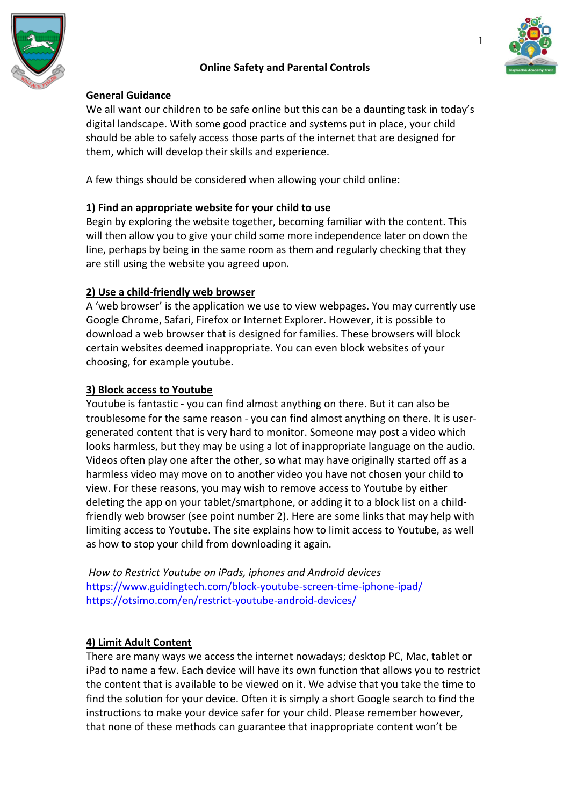



#### **General Guidance**

We all want our children to be safe online but this can be a daunting task in today's digital landscape. With some good practice and systems put in place, your child should be able to safely access those parts of the internet that are designed for them, which will develop their skills and experience.

A few things should be considered when allowing your child online:

## **1) Find an appropriate website for your child to use**

Begin by exploring the website together, becoming familiar with the content. This will then allow you to give your child some more independence later on down the line, perhaps by being in the same room as them and regularly checking that they are still using the website you agreed upon.

## **2) Use a child-friendly web browser**

A 'web browser' is the application we use to view webpages. You may currently use Google Chrome, Safari, Firefox or Internet Explorer. However, it is possible to download a web browser that is designed for families. These browsers will block certain websites deemed inappropriate. You can even block websites of your choosing, for example youtube.

### **3) Block access to Youtube**

Youtube is fantastic - you can find almost anything on there. But it can also be troublesome for the same reason - you can find almost anything on there. It is usergenerated content that is very hard to monitor. Someone may post a video which looks harmless, but they may be using a lot of inappropriate language on the audio. Videos often play one after the other, so what may have originally started off as a harmless video may move on to another video you have not chosen your child to view. For these reasons, you may wish to remove access to Youtube by either deleting the app on your tablet/smartphone, or adding it to a block list on a childfriendly web browser (see point number 2). Here are some links that may help with limiting access to Youtube. The site explains how to limit access to Youtube, as well as how to stop your child from downloading it again.

*How to Restrict Youtube on iPads, iphones and Android devices* <https://www.guidingtech.com/block-youtube-screen-time-iphone-ipad/> <https://otsimo.com/en/restrict-youtube-android-devices/>

# **4) Limit Adult Content**

There are many ways we access the internet nowadays; desktop PC, Mac, tablet or iPad to name a few. Each device will have its own function that allows you to restrict the content that is available to be viewed on it. We advise that you take the time to find the solution for your device. Often it is simply a short Google search to find the instructions to make your device safer for your child. Please remember however, that none of these methods can guarantee that inappropriate content won't be



1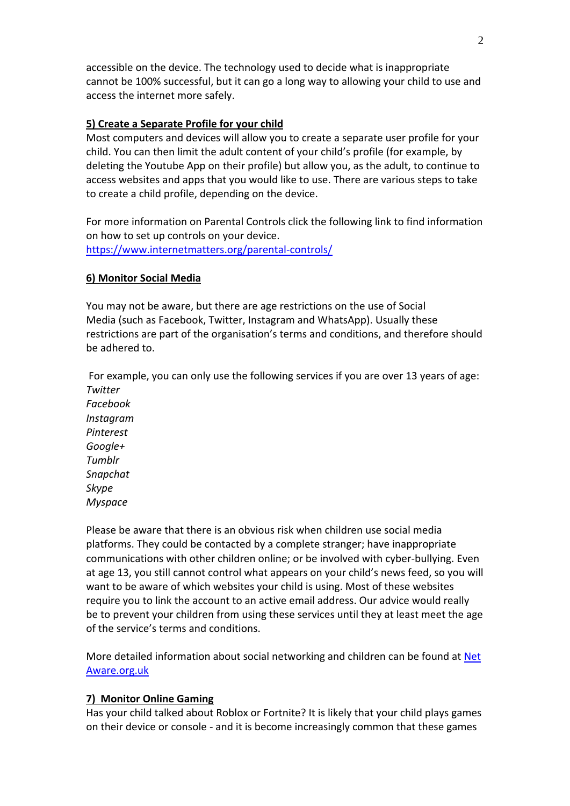accessible on the device. The technology used to decide what is inappropriate cannot be 100% successful, but it can go a long way to allowing your child to use and access the internet more safely.

### **5) Create a Separate Profile for your child**

Most computers and devices will allow you to create a separate user profile for your child. You can then limit the adult content of your child's profile (for example, by deleting the Youtube App on their profile) but allow you, as the adult, to continue to access websites and apps that you would like to use. There are various steps to take to create a child profile, depending on the device.

For more information on Parental Controls click the following link to find information on how to set up controls on your device. <https://www.internetmatters.org/parental-controls/>

## **6) Monitor Social Media**

You may not be aware, but there are age restrictions on the use of Social Media (such as Facebook, Twitter, Instagram and WhatsApp). Usually these restrictions are part of the organisation's terms and conditions, and therefore should be adhered to.

For example, you can only use the following services if you are over 13 years of age: *Twitter*

*Facebook Instagram Pinterest Google+ Tumblr Snapchat Skype Myspace*

Please be aware that there is an obvious risk when children use social media platforms. They could be contacted by a complete stranger; have inappropriate communications with other children online; or be involved with cyber-bullying. Even at age 13, you still cannot control what appears on your child's news feed, so you will want to be aware of which websites your child is using. Most of these websites require you to link the account to an active email address. Our advice would really be to prevent your children from using these services until they at least meet the age of the service's terms and conditions.

More detailed information about social networking and children can be found at [Net](https://www.net-aware.org.uk/) [Aware.org.uk](https://www.net-aware.org.uk/)

### **7) Monitor Online Gaming**

Has your child talked about Roblox or Fortnite? It is likely that your child plays games on their device or console - and it is become increasingly common that these games